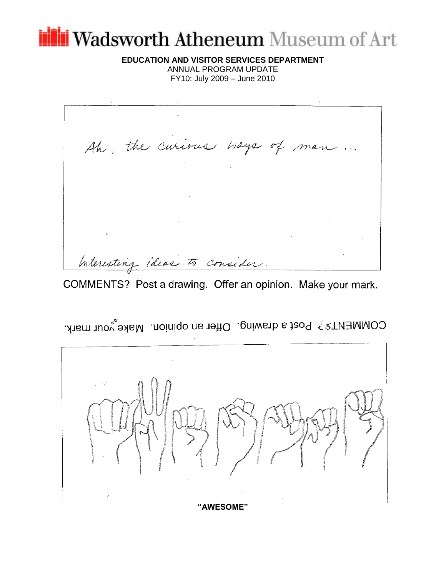# Vadsworth Atheneum Museum of Art

**EDUCATION AND VISITOR SERVICES DEPARTMENT** ANNUAL PROGRAM UPDATE FY10: July 2009 – June 2010

Ah, the curious ways of man. Interesting ideas to consider

COMMENTS? Post a drawing. Offer an opinion. Make your mark.

COMMENT\$ ? Post a drawing. Offer an opinion. Make your mark.

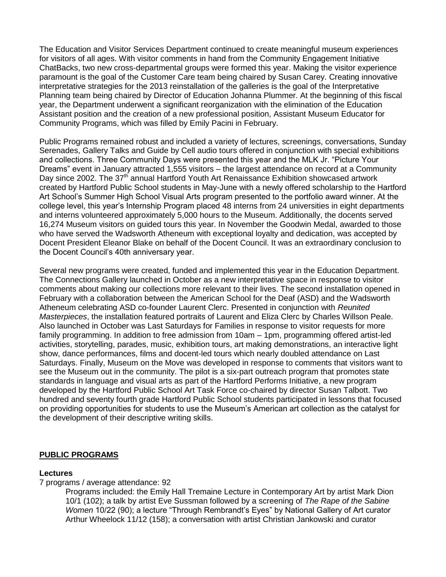The Education and Visitor Services Department continued to create meaningful museum experiences for visitors of all ages. With visitor comments in hand from the Community Engagement Initiative ChatBacks, two new cross-departmental groups were formed this year. Making the visitor experience paramount is the goal of the Customer Care team being chaired by Susan Carey. Creating innovative interpretative strategies for the 2013 reinstallation of the galleries is the goal of the Interpretative Planning team being chaired by Director of Education Johanna Plummer. At the beginning of this fiscal year, the Department underwent a significant reorganization with the elimination of the Education Assistant position and the creation of a new professional position, Assistant Museum Educator for Community Programs, which was filled by Emily Pacini in February.

Public Programs remained robust and included a variety of lectures, screenings, conversations, Sunday Serenades, Gallery Talks and Guide by Cell audio tours offered in conjunction with special exhibitions and collections. Three Community Days were presented this year and the MLK Jr. "Picture Your Dreams" event in January attracted 1,555 visitors – the largest attendance on record at a Community Day since 2002. The 37<sup>th</sup> annual Hartford Youth Art Renaissance Exhibition showcased artwork created by Hartford Public School students in May-June with a newly offered scholarship to the Hartford Art School's Summer High School Visual Arts program presented to the portfolio award winner. At the college level, this year's Internship Program placed 48 interns from 24 universities in eight departments and interns volunteered approximately 5,000 hours to the Museum. Additionally, the docents served 16,274 Museum visitors on guided tours this year. In November the Goodwin Medal, awarded to those who have served the Wadsworth Atheneum with exceptional loyalty and dedication, was accepted by Docent President Eleanor Blake on behalf of the Docent Council. It was an extraordinary conclusion to the Docent Council's 40th anniversary year.

Several new programs were created, funded and implemented this year in the Education Department. The Connections Gallery launched in October as a new interpretative space in response to visitor comments about making our collections more relevant to their lives. The second installation opened in February with a collaboration between the American School for the Deaf (ASD) and the Wadsworth Atheneum celebrating ASD co-founder Laurent Clerc. Presented in conjunction with *Reunited Masterpieces*, the installation featured portraits of Laurent and Eliza Clerc by Charles Willson Peale. Also launched in October was Last Saturdays for Families in response to visitor requests for more family programming. In addition to free admission from 10am – 1pm, programming offered artist-led activities, storytelling, parades, music, exhibition tours, art making demonstrations, an interactive light show, dance performances, films and docent-led tours which nearly doubled attendance on Last Saturdays. Finally, Museum on the Move was developed in response to comments that visitors want to see the Museum out in the community. The pilot is a six-part outreach program that promotes state standards in language and visual arts as part of the Hartford Performs Initiative, a new program developed by the Hartford Public School Art Task Force co-chaired by director Susan Talbott. Two hundred and seventy fourth grade Hartford Public School students participated in lessons that focused on providing opportunities for students to use the Museum's American art collection as the catalyst for the development of their descriptive writing skills.

#### **PUBLIC PROGRAMS**

#### **Lectures**

7 programs / average attendance: 92

Programs included: the Emily Hall Tremaine Lecture in Contemporary Art by artist Mark Dion 10/1 (102); a talk by artist Eve Sussman followed by a screening of *The Rape of the Sabine Women* 10/22 (90); a lecture "Through Rembrandt's Eyes" by National Gallery of Art curator Arthur Wheelock 11/12 (158); a conversation with artist Christian Jankowski and curator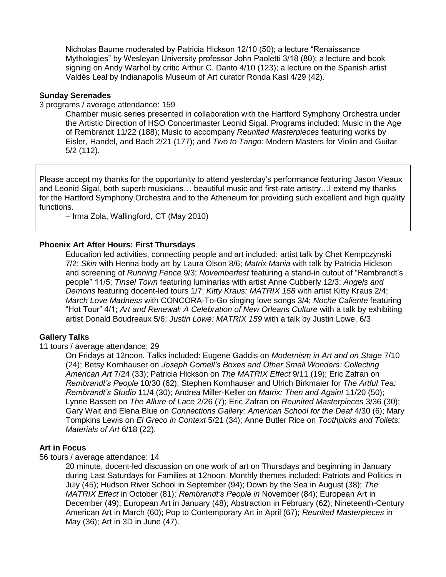Nicholas Baume moderated by Patricia Hickson 12/10 (50); a lecture "Renaissance Mythologies" by Wesleyan University professor John Paoletti 3/18 (80); a lecture and book signing on Andy Warhol by critic Arthur C. Danto 4/10 (123); a lecture on the Spanish artist Valdés Leal by Indianapolis Museum of Art curator Ronda Kasl 4/29 (42).

#### **Sunday Serenades**

3 programs / average attendance: 159

Chamber music series presented in collaboration with the Hartford Symphony Orchestra under the Artistic Direction of HSO Concertmaster Leonid Sigal. Programs included: Music in the Age of Rembrandt 11/22 (188); Music to accompany *Reunited Masterpieces* featuring works by Eisler, Handel, and Bach 2/21 (177); and *Two to Tango:* Modern Masters for Violin and Guitar 5/2 (112).

Please accept my thanks for the opportunity to attend yesterday's performance featuring Jason Vieaux and Leonid Sigal, both superb musicians… beautiful music and first-rate artistry…I extend my thanks for the Hartford Symphony Orchestra and to the Atheneum for providing such excellent and high quality functions.

– Irma Zola, Wallingford, CT (May 2010)

## **Phoenix Art After Hours: First Thursdays**

Education led activities, connecting people and art included: artist talk by Chet Kempczynski 7/2; *Skin* with Henna body art by Laura Olson 8/6; *Matrix Mania* with talk by Patricia Hickson and screening of *Running Fence* 9/3; *Novemberfest* featuring a stand-in cutout of "Rembrandt's people" 11/5; *Tinsel Town* featuring luminarias with artist Anne Cubberly 12/3; *Angels and Demons* featuring docent-led tours 1/7; *Kitty Kraus: MATRIX 158* with artist Kitty Kraus 2/4; *March Love Madness* with CONCORA-To-Go singing love songs 3/4; *Noche Caliente* featuring "Hot Tour" 4/1; *Art and Renewal: A Celebration of New Orleans Culture* with a talk by exhibiting artist Donald Boudreaux 5/6; *Justin Lowe: MATRIX 159* with a talk by Justin Lowe, 6/3

#### **Gallery Talks**

#### 11 tours / average attendance: 29

On Fridays at 12noon. Talks included: Eugene Gaddis on *Modernism in Art and on Stage* 7/10 (24); Betsy Kornhauser on *Joseph Cornell's Boxes and Other Small Wonders: Collecting American Art* 7/24 (33); Patricia Hickson on *The MATRIX Effect* 9/11 (19); Eric Zafran on *Rembrandt's People* 10/30 (62); Stephen Kornhauser and Ulrich Birkmaier for *The Artful Tea: Rembrandt's Studio* 11/4 (30); Andrea Miller-Keller on *Matrix: Then and Again!* 11/20 (50); Lynne Bassett on *The Allure of Lace* 2/26 (7); Eric Zafran on *Reunited Masterpieces* 3/36 (30); Gary Wait and Elena Blue on *Connections Gallery: American School for the Deaf* 4/30 (6); Mary Tompkins Lewis on *El Greco in Context* 5/21 (34); Anne Butler Rice on *Toothpicks and Toilets: Materials of Art* 6/18 (22).

#### **Art in Focus**

56 tours / average attendance: 14

20 minute, docent-led discussion on one work of art on Thursdays and beginning in January during Last Saturdays for Families at 12noon. Monthly themes included: Patriots and Politics in July (45); Hudson River School in September (94); Down by the Sea in August (38); *The MATRIX Effect* in October (81); *Rembrandt's People in* November (84); European Art in December (49); European Art in January (48); Abstraction in February (62); Nineteenth-Century American Art in March (60); Pop to Contemporary Art in April (67); *Reunited Masterpieces* in May (36); Art in 3D in June (47).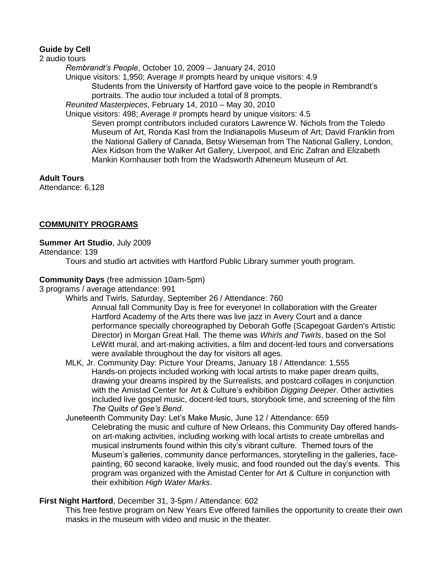## **Guide by Cell**

2 audio tours *Rembrandt's People*, October 10, 2009 – January 24, 2010 Unique visitors: 1,950; Average # prompts heard by unique visitors: 4.9 Students from the University of Hartford gave voice to the people in Rembrandt's portraits. The audio tour included a total of 8 prompts. *Reunited Masterpieces*, February 14, 2010 – May 30, 2010 Unique visitors: 498; Average # prompts heard by unique visitors: 4.5 Seven prompt contributors included curators Lawrence W. Nichols from the Toledo Museum of Art, Ronda Kasl from the Indianapolis Museum of Art; David Franklin from the National Gallery of Canada, Betsy Wieseman from The National Gallery, London, Alex Kidson from the Walker Art Gallery, Liverpool, and Eric Zafran and Elizabeth Mankin Kornhauser both from the Wadsworth Atheneum Museum of Art.

#### **Adult Tours**

Attendance: 6,128

## **COMMUNITY PROGRAMS**

#### **Summer Art Studio**, July 2009

Attendance: 139

Tours and studio art activities with Hartford Public Library summer youth program.

#### **Community Days** (free admission 10am-5pm)

3 programs / average attendance: 991

Whirls and Twirls, Saturday, September 26 / Attendance: 760

Annual fall Community Day is free for everyone! In collaboration with the Greater Hartford Academy of the Arts there was live jazz in Avery Court and a dance performance specially choreographed by Deborah Goffe (Scapegoat Garden's Artistic Director) in Morgan Great Hall. The theme was *Whirls and Twirls*, based on the Sol LeWitt mural, and art-making activities, a film and docent-led tours and conversations were available throughout the day for visitors all ages.

- MLK, Jr. Community Day: Picture Your Dreams, January 18 / Attendance: 1,555 Hands-on projects included working with local artists to make paper dream quilts, drawing your dreams inspired by the Surrealists, and postcard collages in conjunction with the Amistad Center for Art & Culture's exhibition *Digging Deeper*. Other activities included live gospel music, docent-led tours, storybook time, and screening of the film *The Quilts of Gee's Bend*.
- Juneteenth Community Day: Let's Make Music, June 12 / Attendance: 659 Celebrating the music and culture of New Orleans, this Community Day offered handson art-making activities, including working with local artists to create umbrellas and musical instruments found within this city's vibrant culture. Themed tours of the Museum's galleries, community dance performances, storytelling in the galleries, facepainting, 60 second karaoke, lively music, and food rounded out the day's events. This program was organized with the Amistad Center for Art & Culture in conjunction with their exhibition *High Water Marks*.

#### **First Night Hartford**, December 31, 3-5pm / Attendance: 602

This free festive program on New Years Eve offered families the opportunity to create their own masks in the museum with video and music in the theater.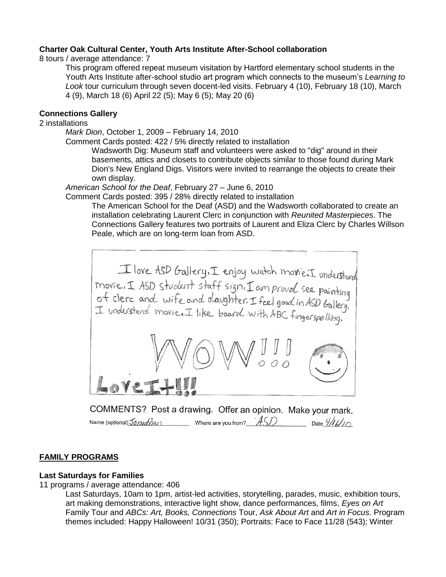## **Charter Oak Cultural Center, Youth Arts Institute After-School collaboration**

8 tours / average attendance: 7

This program offered repeat museum visitation by Hartford elementary school students in the Youth Arts Institute after-school studio art program which connects to the museum's *Learning to Look* tour curriculum through seven docent-led visits. February 4 (10), February 18 (10), March 4 (9), March 18 (6) April 22 (5); May 6 (5); May 20 (6)

## **Connections Gallery**

2 installations

*Mark Dion*, October 1, 2009 – February 14, 2010

Comment Cards posted: 422 / 5% directly related to installation

Wadsworth Dig: Museum staff and volunteers were asked to "dig" around in their basements, attics and closets to contribute objects similar to those found during Mark Dion's New England Digs. Visitors were invited to rearrange the objects to create their own display.

*American School for the Deaf*, February 27 – June 6, 2010

Comment Cards posted: 395 / 28% directly related to installation

The American School for the Deaf (ASD) and the Wadsworth collaborated to create an installation celebrating Laurent Clerc in conjunction with *Reunited Masterpieces*. The Connections Gallery features two portraits of Laurent and Eliza Clerc by Charles Willson Peale, which are on long-term loan from ASD.



COMMENTS? Post a drawing. Offer an opinion. Make your mark. Name (optional)  $J$ onathar where are you from?  $\hat{ASD}$  Date  $\hat{H}$ 

#### **FAMILY PROGRAMS**

#### **Last Saturdays for Families**

11 programs / average attendance: 406

Last Saturdays, 10am to 1pm, artist-led activities, storytelling, parades, music, exhibition tours, art making demonstrations, interactive light show, dance performances, films, *Eyes on Art* Family Tour and *ABCs: Art, Books, Connections* Tour, *Ask About Art* and *Art in Focus*. Program themes included: Happy Halloween! 10/31 (350); Portraits: Face to Face 11/28 (543); Winter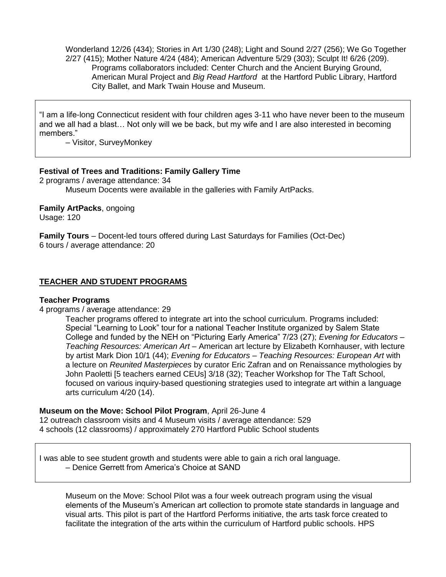Wonderland 12/26 (434); Stories in Art 1/30 (248); Light and Sound 2/27 (256); We Go Together 2/27 (415); Mother Nature 4/24 (484); American Adventure 5/29 (303); Sculpt It! 6/26 (209). Programs collaborators included: Center Church and the Ancient Burying Ground, American Mural Project and *Big Read Hartford* at the Hartford Public Library, Hartford City Ballet, and Mark Twain House and Museum.

"I am a life-long Connecticut resident with four children ages 3-11 who have never been to the museum and we all had a blast… Not only will we be back, but my wife and I are also interested in becoming members."

– Visitor, SurveyMonkey

## **Festival of Trees and Traditions: Family Gallery Time**

2 programs / average attendance: 34 Museum Docents were available in the galleries with Family ArtPacks.

**Family ArtPacks**, ongoing Usage: 120

**Family Tours** – Docent-led tours offered during Last Saturdays for Families (Oct-Dec) 6 tours / average attendance: 20

# **TEACHER AND STUDENT PROGRAMS**

#### **Teacher Programs**

4 programs / average attendance: 29

Teacher programs offered to integrate art into the school curriculum. Programs included: Special "Learning to Look" tour for a national Teacher Institute organized by Salem State College and funded by the NEH on "Picturing Early America" 7/23 (27); *Evening for Educators – Teaching Resources: American Art –* American art lecture by Elizabeth Kornhauser, with lecture by artist Mark Dion 10/1 (44); *Evening for Educators – Teaching Resources: European Art* with a lecture on *Reunited Masterpieces* by curator Eric Zafran and on Renaissance mythologies by John Paoletti [5 teachers earned CEUs] 3/18 (32); Teacher Workshop for The Taft School, focused on various inquiry-based questioning strategies used to integrate art within a language arts curriculum 4/20 (14).

**Museum on the Move: School Pilot Program**, April 26-June 4

12 outreach classroom visits and 4 Museum visits / average attendance: 529 4 schools (12 classrooms) / approximately 270 Hartford Public School students

I was able to see student growth and students were able to gain a rich oral language. – Denice Gerrett from America's Choice at SAND

Museum on the Move: School Pilot was a four week outreach program using the visual elements of the Museum's American art collection to promote state standards in language and visual arts. This pilot is part of the Hartford Performs initiative, the arts task force created to facilitate the integration of the arts within the curriculum of Hartford public schools. HPS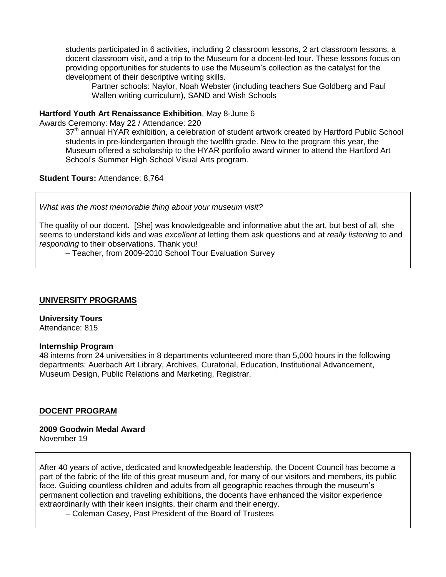students participated in 6 activities, including 2 classroom lessons, 2 art classroom lessons, a docent classroom visit, and a trip to the Museum for a docent-led tour. These lessons focus on providing opportunities for students to use the Museum's collection as the catalyst for the development of their descriptive writing skills.

Partner schools: Naylor, Noah Webster (including teachers Sue Goldberg and Paul Wallen writing curriculum), SAND and Wish Schools

#### **Hartford Youth Art Renaissance Exhibition**, May 8-June 6

Awards Ceremony: May 22 / Attendance: 220

37<sup>th</sup> annual HYAR exhibition, a celebration of student artwork created by Hartford Public School students in pre-kindergarten through the twelfth grade. New to the program this year, the Museum offered a scholarship to the HYAR portfolio award winner to attend the Hartford Art School's Summer High School Visual Arts program.

**Student Tours:** Attendance: 8,764

*What was the most memorable thing about your museum visit?*

The quality of our docent. [She] was knowledgeable and informative abut the art, but best of all, she seems to understand kids and was *excellent* at letting them ask questions and at *really listening* to and *responding* to their observations. Thank you!

– Teacher, from 2009-2010 School Tour Evaluation Survey

#### **UNIVERSITY PROGRAMS**

**University Tours** Attendance: 815

#### **Internship Program**

48 interns from 24 universities in 8 departments volunteered more than 5,000 hours in the following departments: Auerbach Art Library, Archives, Curatorial, Education, Institutional Advancement, Museum Design, Public Relations and Marketing, Registrar.

#### **DOCENT PROGRAM**

**2009 Goodwin Medal Award** November 19

After 40 years of active, dedicated and knowledgeable leadership, the Docent Council has become a part of the fabric of the life of this great museum and, for many of our visitors and members, its public face. Guiding countless children and adults from all geographic reaches through the museum's permanent collection and traveling exhibitions, the docents have enhanced the visitor experience extraordinarily with their keen insights, their charm and their energy.

– Coleman Casey, Past President of the Board of Trustees